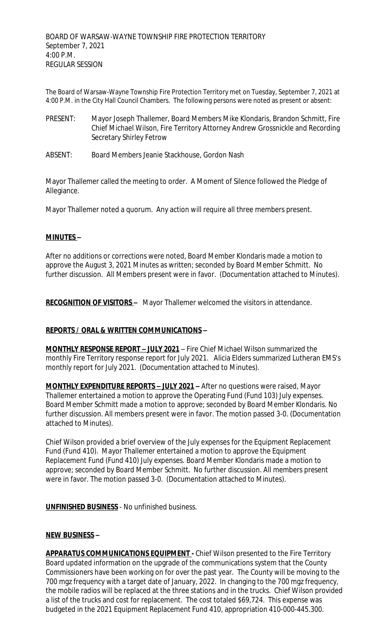The Board of Warsaw-Wayne Township Fire Protection Territory met on Tuesday, September 7, 2021 at 4:00 P.M. in the City Hall Council Chambers. The following persons were noted as present or absent:

- PRESENT: Mayor Joseph Thallemer, Board Members Mike Klondaris, Brandon Schmitt, Fire Chief Michael Wilson, Fire Territory Attorney Andrew Grossnickle and Recording Secretary Shirley Fetrow
- ABSENT: Board Members Jeanie Stackhouse, Gordon Nash

Mayor Thallemer called the meeting to order. A Moment of Silence followed the Pledge of Allegiance.

Mayor Thallemer noted a quorum. Any action will require all three members present.

### **MINUTES –**

After no additions or corrections were noted, Board Member Klondaris made a motion to approve the August 3, 2021 Minutes as written; seconded by Board Member Schmitt. No further discussion. All Members present were in favor. (Documentation attached to Minutes).

**RECOGNITION OF VISITORS –** Mayor Thallemer welcomed the visitors in attendance.

## **REPORTS / ORAL & WRITTEN COMMUNICATIONS –**

**MONTHLY RESPONSE REPORT – JULY 2021** – Fire Chief Michael Wilson summarized the monthly Fire Territory response report for July 2021. Alicia Elders summarized Lutheran EMS's monthly report for July 2021. (Documentation attached to Minutes).

**MONTHLY EXPENDITURE REPORTS – JULY 2021 –** After no questions were raised, Mayor Thallemer entertained a motion to approve the Operating Fund (Fund 103) July expenses. Board Member Schmitt made a motion to approve; seconded by Board Member Klondaris. No further discussion. All members present were in favor. The motion passed 3-0. (Documentation attached to Minutes).

Chief Wilson provided a brief overview of the July expenses for the Equipment Replacement Fund (Fund 410). Mayor Thallemer entertained a motion to approve the Equipment Replacement Fund (Fund 410) July expenses. Board Member Klondaris made a motion to approve; seconded by Board Member Schmitt. No further discussion. All members present were in favor. The motion passed 3-0. (Documentation attached to Minutes).

**UNFINISHED BUSINESS** - No unfinished business.

#### **NEW BUSINESS –**

**APPARATUS COMMUNICATIONS EQUIPMENT -** Chief Wilson presented to the Fire Territory Board updated information on the upgrade of the communications system that the County Commissioners have been working on for over the past year. The County will be moving to the 700 mgz frequency with a target date of January, 2022. In changing to the 700 mgz frequency, the mobile radios will be replaced at the three stations and in the trucks. Chief Wilson provided a list of the trucks and cost for replacement. The cost totaled \$69,724. This expense was budgeted in the 2021 Equipment Replacement Fund 410, appropriation 410-000-445.300.